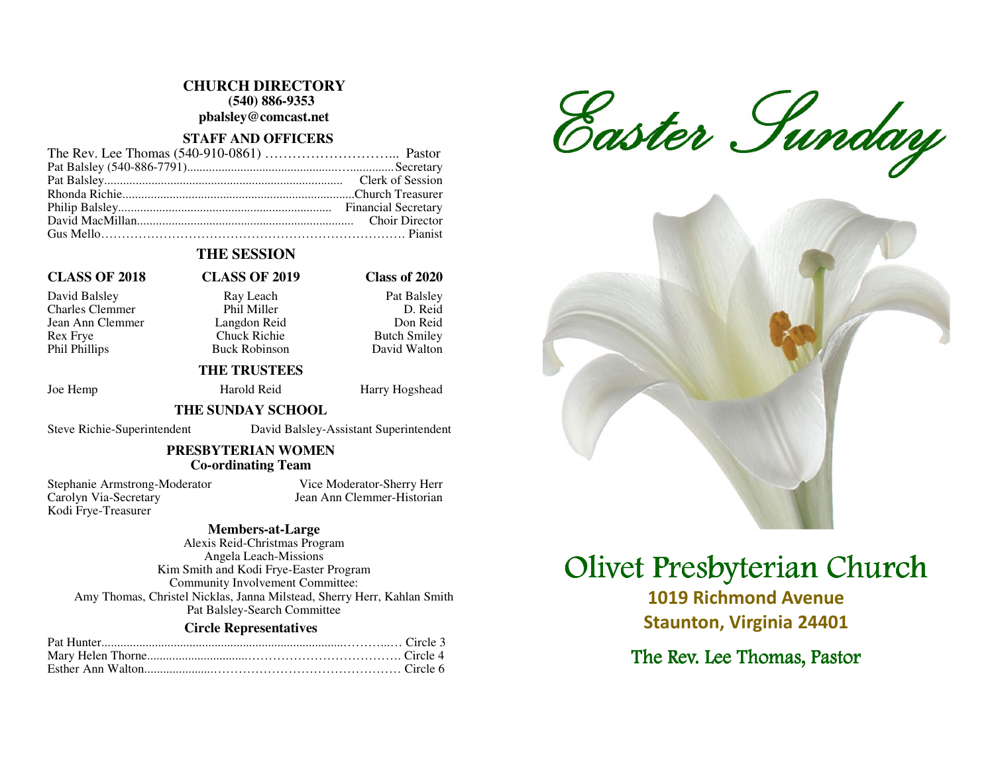## **CHURCH DIRECTORY (540) 886-9353**

**pbalsley@comcast.net** 

#### **STAFF AND OFFICERS**

# **THE SESSION**

# **CLASS OF 2018 CLASS OF 2019 Class of 2020**

David Balsley Ray Leach Pat Balsley Charles Clemmer Phil Miller

Jean Ann Clemmer Langdon Reid<br>
Rex Frve Chuck Richie Chuck Richie Phil Phillips Buck Robinson

## **THE TRUSTEES**

 **THE SUNDAY SCHOOL** 

Joe Hemp Harold Reid Harry Hogshead

D. Reid

Don Reid

**Butch Smilev** 

David Walton

Steve Richie-Superintendent David Balsley-Assistant Superintendent

## **PRESBYTERIAN WOMEN Co-ordinating Team**

Stephanie Armstrong-Moderator Vice Moderator-Sherry Herr Carolyn Via-Secretary Jean Ann Clemmer-Historian Kodi Frye-Treasurer

#### **Members-at-Large**

 Alexis Reid-Christmas Program Angela Leach-Missions Kim Smith and Kodi Frye-Easter Program Community Involvement Committee: Amy Thomas, Christel Nicklas, Janna Milstead, Sherry Herr, Kahlan Smith Pat Balsley-Search Committee

#### **Circle Representatives**

Caster Sunday



# Olivet Presbyterian Church

1019 Richmond Avenue Staunton, Virginia 24401

The Rev. Lee Thomas, Pastor